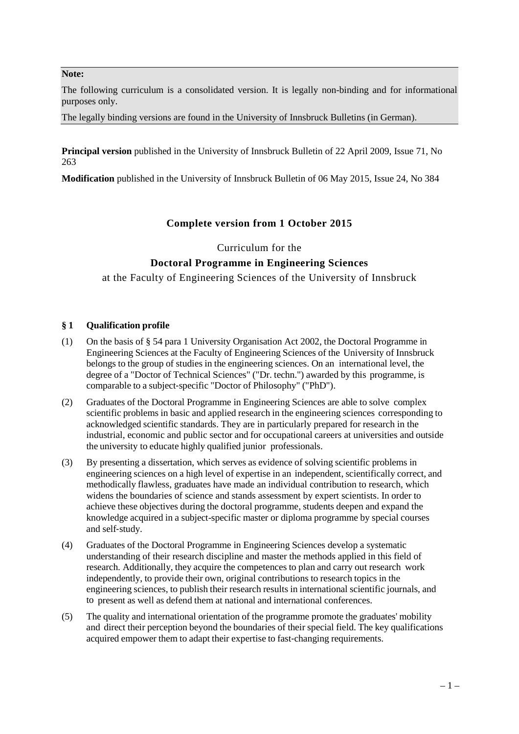#### **Note:**

The following curriculum is a consolidated version. It is legally non-binding and for informational purposes only.

The legally binding versions are found in the University of Innsbruck Bulletins (in German).

**Principal version** published in the University of Innsbruck Bulletin of 22 April 2009, Issue 71, No 263

**Modification** published in the University of Innsbruck Bulletin of 06 May 2015, Issue 24, No 384

## **Complete version from 1 October 2015**

Curriculum for the

# **Doctoral Programme in Engineering Sciences**

at the Faculty of Engineering Sciences of the University of Innsbruck

### **§ 1 Qualification profile**

- (1) On the basis of § 54 para 1 University Organisation Act 2002, the Doctoral Programme in Engineering Sciences at the Faculty of Engineering Sciences of the University of Innsbruck belongs to the group of studies in the engineering sciences. On an international level, the degree of a "Doctor of Technical Sciences" ("Dr. techn.") awarded by this programme, is comparable to a subject‐specific "Doctor of Philosophy" ("PhD").
- (2) Graduates of the Doctoral Programme in Engineering Sciences are able to solve complex scientific problems in basic and applied research in the engineering sciences corresponding to acknowledged scientific standards. They are in particularly prepared for research in the industrial, economic and public sector and for occupational careers at universities and outside the university to educate highly qualified junior professionals.
- (3) By presenting a dissertation, which serves as evidence of solving scientific problems in engineering sciences on a high level of expertise in an independent, scientifically correct, and methodically flawless, graduates have made an individual contribution to research, which widens the boundaries of science and stands assessment by expert scientists. In order to achieve these objectives during the doctoral programme, students deepen and expand the knowledge acquired in a subject-specific master or diploma programme by special courses and self‐study.
- (4) Graduates of the Doctoral Programme in Engineering Sciences develop a systematic understanding of their research discipline and master the methods applied in this field of research. Additionally, they acquire the competences to plan and carry out research work independently, to provide their own, original contributions to research topics in the engineering sciences, to publish their research results in international scientific journals, and to present as well as defend them at national and international conferences.
- (5) The quality and international orientation of the programme promote the graduates' mobility and direct their perception beyond the boundaries of their special field. The key qualifications acquired empower them to adapt their expertise to fast-changing requirements.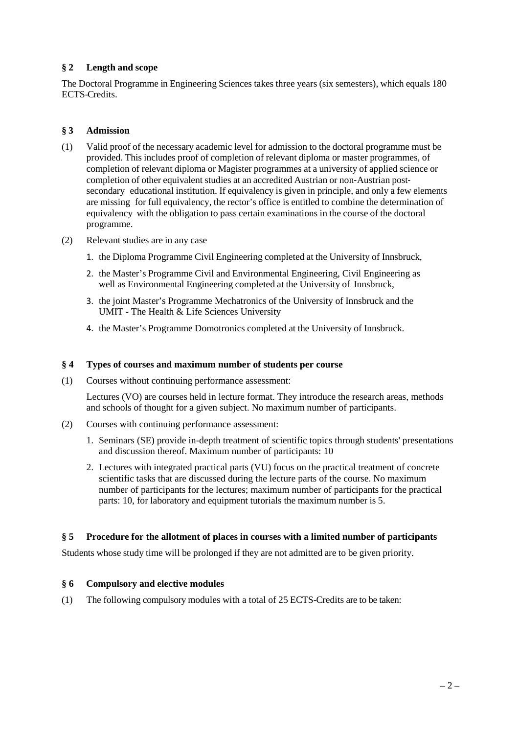### **§ 2 Length and scope**

The Doctoral Programme in Engineering Sciences takes three years (six semesters), which equals 180 ECTS-Credits.

### **§ 3 Admission**

- (1) Valid proof of the necessary academic level for admission to the doctoral programme must be provided. This includes proof of completion of relevant diploma or master programmes, of completion of relevant diploma or Magister programmes at a university of applied science or completion of other equivalent studies at an accredited Austrian or non-Austrian postsecondary educational institution. If equivalency is given in principle, and only a few elements are missing for full equivalency, the rector's office is entitled to combine the determination of equivalency with the obligation to pass certain examinations in the course of the doctoral programme.
- (2) Relevant studies are in any case
	- 1. the Diploma Programme Civil Engineering completed at the University of Innsbruck,
	- 2. the Master's Programme Civil and Environmental Engineering, Civil Engineering as well as Environmental Engineering completed at the University of Innsbruck,
	- 3. the joint Master's Programme Mechatronics of the University of Innsbruck and the UMIT - The Health & Life Sciences University
	- 4. the Master's Programme Domotronics completed at the University of Innsbruck.

#### **§ 4 Types of courses and maximum number of students per course**

(1) Courses without continuing performance assessment:

Lectures (VO) are courses held in lecture format. They introduce the research areas, methods and schools of thought for a given subject. No maximum number of participants.

- (2) Courses with continuing performance assessment:
	- 1. Seminars (SE) provide in-depth treatment of scientific topics through students' presentations and discussion thereof. Maximum number of participants: 10
	- 2. Lectures with integrated practical parts (VU) focus on the practical treatment of concrete scientific tasks that are discussed during the lecture parts of the course. No maximum number of participants for the lectures; maximum number of participants for the practical parts: 10, for laboratory and equipment tutorials the maximum number is 5.

### **§ 5 Procedure for the allotment of places in courses with a limited number of participants**

Students whose study time will be prolonged if they are not admitted are to be given priority.

### **§ 6 Compulsory and elective modules**

(1) The following compulsory modules with a total of 25 ECTS-Credits are to be taken: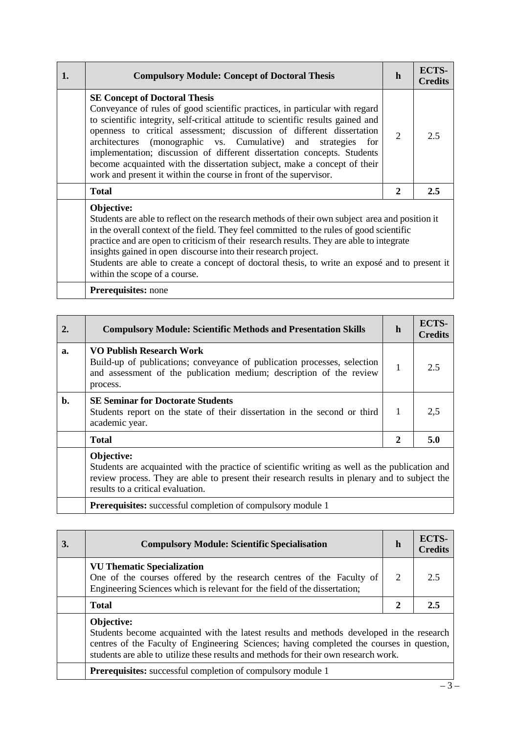| 1. | <b>Compulsory Module: Concept of Doctoral Thesis</b>                                                                                                                                                                                                                                                                                                                                                                                                                                                                                                                                   | h              | <b>ECTS-</b><br><b>Credits</b> |
|----|----------------------------------------------------------------------------------------------------------------------------------------------------------------------------------------------------------------------------------------------------------------------------------------------------------------------------------------------------------------------------------------------------------------------------------------------------------------------------------------------------------------------------------------------------------------------------------------|----------------|--------------------------------|
|    | <b>SE Concept of Doctoral Thesis</b><br>Conveyance of rules of good scientific practices, in particular with regard<br>to scientific integrity, self-critical attitude to scientific results gained and<br>openness to critical assessment; discussion of different dissertation<br>(monographic vs. Cumulative) and<br>architectures<br>strategies<br>for<br>implementation; discussion of different dissertation concepts. Students<br>become acquainted with the dissertation subject, make a concept of their<br>work and present it within the course in front of the supervisor. | $\overline{2}$ | 2.5                            |
|    | <b>Total</b>                                                                                                                                                                                                                                                                                                                                                                                                                                                                                                                                                                           | 2              | 2.5                            |
|    | Objective:<br>Students are able to reflect on the research methods of their own subject area and position it<br>in the overall context of the field. They feel committed to the rules of good scientific<br>practice and are open to criticism of their research results. They are able to integrate<br>insights gained in open discourse into their research project.<br>Students are able to create a concept of doctoral thesis, to write an exposé and to present it<br>within the scope of a course.                                                                              |                |                                |
|    | <b>Prerequisites:</b> none                                                                                                                                                                                                                                                                                                                                                                                                                                                                                                                                                             |                |                                |

| 2.             | <b>Compulsory Module: Scientific Methods and Presentation Skills</b>                                                                                                                                                                               | $\mathbf h$      | ECTS-<br><b>Credits</b> |
|----------------|----------------------------------------------------------------------------------------------------------------------------------------------------------------------------------------------------------------------------------------------------|------------------|-------------------------|
| a.             | VO Publish Research Work<br>Build-up of publications; conveyance of publication processes, selection<br>and assessment of the publication medium; description of the review<br>process.                                                            | 1                | 2.5                     |
| $\mathbf{b}$ . | <b>SE Seminar for Doctorate Students</b><br>Students report on the state of their dissertation in the second or third<br>academic year.                                                                                                            | 1                | 2,5                     |
|                | <b>Total</b>                                                                                                                                                                                                                                       | $\boldsymbol{2}$ | 5.0                     |
|                | Objective:<br>Students are acquainted with the practice of scientific writing as well as the publication and<br>review process. They are able to present their research results in plenary and to subject the<br>results to a critical evaluation. |                  |                         |
|                | <b>Prerequisites:</b> successful completion of compulsory module 1                                                                                                                                                                                 |                  |                         |

| 3. | <b>Compulsory Module: Scientific Specialisation</b>                                                                                                                                                                                                                                        | h | ECTS-<br><b>Credits</b> |  |  |  |
|----|--------------------------------------------------------------------------------------------------------------------------------------------------------------------------------------------------------------------------------------------------------------------------------------------|---|-------------------------|--|--|--|
|    | <b>VU Thematic Specialization</b><br>One of the courses offered by the research centres of the Faculty of<br>Engineering Sciences which is relevant for the field of the dissertation;                                                                                                     | 2 | 2.5                     |  |  |  |
|    | <b>Total</b>                                                                                                                                                                                                                                                                               |   |                         |  |  |  |
|    | Objective:<br>Students become acquainted with the latest results and methods developed in the research<br>centres of the Faculty of Engineering Sciences; having completed the courses in question,<br>students are able to utilize these results and methods for their own research work. |   |                         |  |  |  |
|    | <b>Prerequisites:</b> successful completion of compulsory module 1                                                                                                                                                                                                                         |   |                         |  |  |  |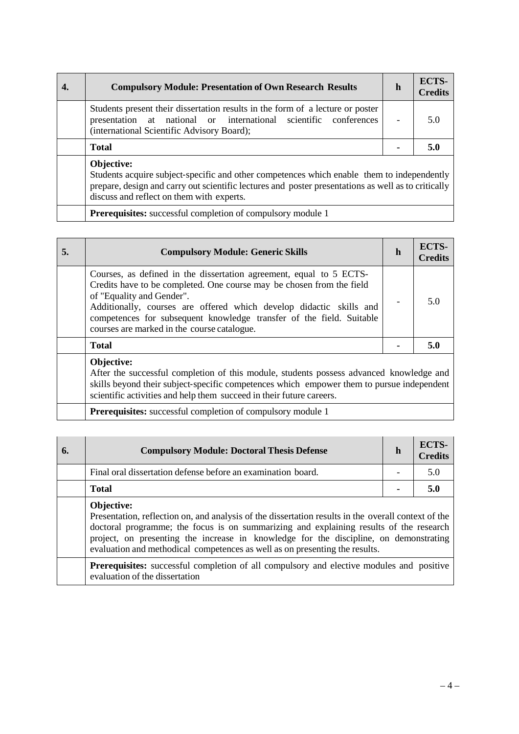| <b>Compulsory Module: Presentation of Own Research Results</b>                                                                                                                                                                                               | h | ECTS-<br><b>Credits</b> |  |  |  |  |  |
|--------------------------------------------------------------------------------------------------------------------------------------------------------------------------------------------------------------------------------------------------------------|---|-------------------------|--|--|--|--|--|
| Students present their dissertation results in the form of a lecture or poster<br>presentation at national or international scientific conferences<br>(international Scientific Advisory Board);                                                             |   | 5.0                     |  |  |  |  |  |
| <b>Total</b>                                                                                                                                                                                                                                                 |   |                         |  |  |  |  |  |
| Objective:<br>Students acquire subject-specific and other competences which enable them to independently<br>prepare, design and carry out scientific lectures and poster presentations as well as to critically<br>discuss and reflect on them with experts. |   |                         |  |  |  |  |  |
| <b>Prerequisites:</b> successful completion of compulsory module 1                                                                                                                                                                                           |   |                         |  |  |  |  |  |

| 5. | <b>Compulsory Module: Generic Skills</b>                                                                                                                                                                                                                                                                                                                                | h | ECTS-<br><b>Credits</b> |
|----|-------------------------------------------------------------------------------------------------------------------------------------------------------------------------------------------------------------------------------------------------------------------------------------------------------------------------------------------------------------------------|---|-------------------------|
|    | Courses, as defined in the dissertation agreement, equal to 5 ECTS-<br>Credits have to be completed. One course may be chosen from the field<br>of "Equality and Gender".<br>Additionally, courses are offered which develop didactic skills and<br>competences for subsequent knowledge transfer of the field. Suitable<br>courses are marked in the course catalogue. |   | 5.0                     |
|    | <b>Total</b>                                                                                                                                                                                                                                                                                                                                                            |   | 5.0                     |
|    | Objective:<br>After the successful completion of this module, students possess advanced knowledge and<br>skills beyond their subject-specific competences which empower them to pursue independent<br>scientific activities and help them succeed in their future careers.                                                                                              |   |                         |

**Prerequisites:** successful completion of compulsory module 1

| 6. | <b>Compulsory Module: Doctoral Thesis Defense</b>                                                                                                                                                                                                                                                                                                                                   | h | ECTS-<br><b>Credits</b> |
|----|-------------------------------------------------------------------------------------------------------------------------------------------------------------------------------------------------------------------------------------------------------------------------------------------------------------------------------------------------------------------------------------|---|-------------------------|
|    | Final oral dissertation defense before an examination board.                                                                                                                                                                                                                                                                                                                        |   | 5.0                     |
|    | <b>Total</b>                                                                                                                                                                                                                                                                                                                                                                        |   | 5.0                     |
|    | Objective:<br>Presentation, reflection on, and analysis of the dissertation results in the overall context of the<br>doctoral programme; the focus is on summarizing and explaining results of the research<br>project, on presenting the increase in knowledge for the discipline, on demonstrating<br>evaluation and methodical competences as well as on presenting the results. |   |                         |
|    | <b>Prerequisites:</b> successful completion of all compulsory and elective modules and positive<br>evaluation of the dissertation                                                                                                                                                                                                                                                   |   |                         |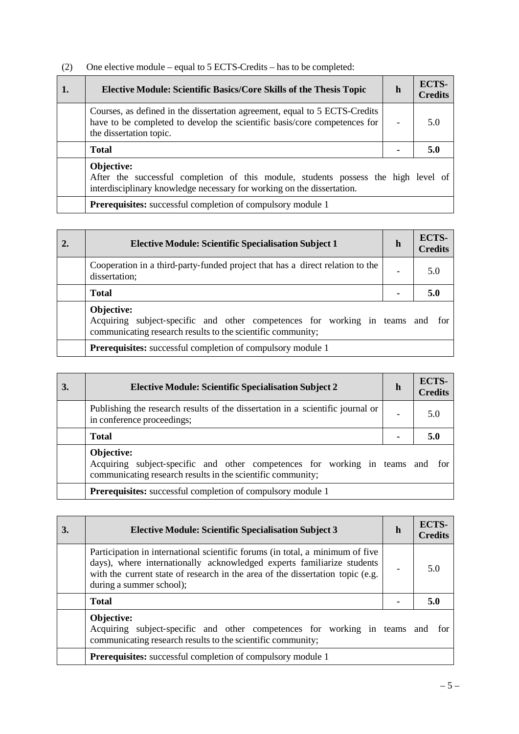| (2) | One elective module – equal to 5 ECTS-Credits – has to be completed: |
|-----|----------------------------------------------------------------------|
|     |                                                                      |

| 1. | <b>Elective Module: Scientific Basics/Core Skills of the Thesis Topic</b>                                                                                                          | h | ECTS-<br><b>Credits</b> |  |  |  |
|----|------------------------------------------------------------------------------------------------------------------------------------------------------------------------------------|---|-------------------------|--|--|--|
|    | Courses, as defined in the dissertation agreement, equal to 5 ECTS-Credits<br>have to be completed to develop the scientific basis/core competences for<br>the dissertation topic. |   | 5.0                     |  |  |  |
|    | <b>Total</b>                                                                                                                                                                       |   |                         |  |  |  |
|    | Objective:<br>After the successful completion of this module, students possess the high level of<br>interdisciplinary knowledge necessary for working on the dissertation.         |   |                         |  |  |  |
|    | Prerequisites: successful completion of compulsory module 1                                                                                                                        |   |                         |  |  |  |

| 2. | <b>Elective Module: Scientific Specialisation Subject 1</b>                                                                                                   | h                        | ECTS-<br><b>Credits</b> |  |  |  |  |  |
|----|---------------------------------------------------------------------------------------------------------------------------------------------------------------|--------------------------|-------------------------|--|--|--|--|--|
|    | Cooperation in a third-party-funded project that has a direct relation to the<br>dissertation;                                                                | $\overline{\phantom{a}}$ | 5.0                     |  |  |  |  |  |
|    | <b>Total</b>                                                                                                                                                  |                          | 5.0                     |  |  |  |  |  |
|    | Objective:<br>Acquiring<br>subject-specific and other competences for working in teams and for<br>communicating research results to the scientific community; |                          |                         |  |  |  |  |  |
|    | <b>Prerequisites:</b> successful completion of compulsory module 1                                                                                            |                          |                         |  |  |  |  |  |

| 3. | <b>Elective Module: Scientific Specialisation Subject 2</b>                                                                                                | h | ECTS-<br><b>Credits</b> |  |
|----|------------------------------------------------------------------------------------------------------------------------------------------------------------|---|-------------------------|--|
|    | Publishing the research results of the dissertation in a scientific journal or<br>in conference proceedings;                                               |   | 5.0                     |  |
|    | <b>Total</b>                                                                                                                                               |   | 5.0                     |  |
|    | Objective:<br>Acquiring subject-specific and other competences for working in teams and for<br>communicating research results in the scientific community; |   |                         |  |
|    | <b>Prerequisites:</b> successful completion of compulsory module 1                                                                                         |   |                         |  |

| 3. | <b>Elective Module: Scientific Specialisation Subject 3</b>                                                                                                                                                                                                           | h | ECTS-<br><b>Credits</b> |  |
|----|-----------------------------------------------------------------------------------------------------------------------------------------------------------------------------------------------------------------------------------------------------------------------|---|-------------------------|--|
|    | Participation in international scientific forums (in total, a minimum of five<br>days), where internationally acknowledged experts familiarize students<br>with the current state of research in the area of the dissertation topic (e.g.<br>during a summer school); |   | 5 Q                     |  |
|    | <b>Total</b>                                                                                                                                                                                                                                                          |   | 5.0                     |  |
|    | Objective:<br>Acquiring subject-specific and other competences for working in teams and<br>communicating research results to the scientific community;                                                                                                                |   | for                     |  |
|    | <b>Prerequisites:</b> successful completion of compulsory module 1                                                                                                                                                                                                    |   |                         |  |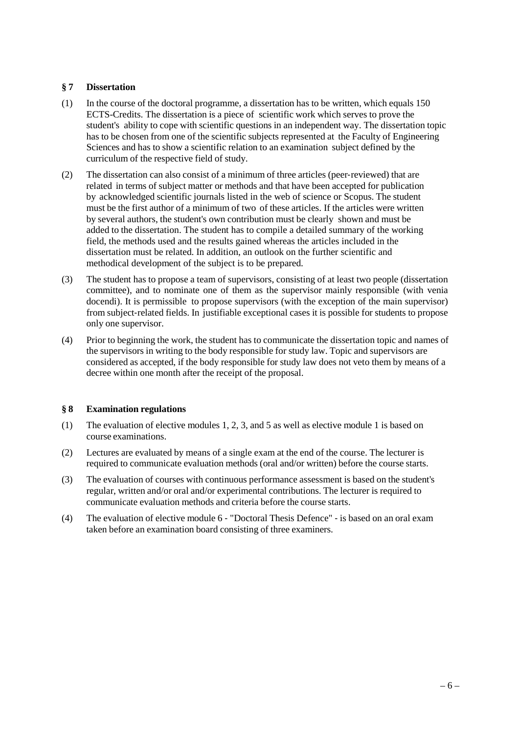#### **§ 7 Dissertation**

- (1) In the course of the doctoral programme, a dissertation has to be written, which equals 150 ECTS-Credits. The dissertation is a piece of scientific work which serves to prove the student's ability to cope with scientific questions in an independent way. The dissertation topic has to be chosen from one of the scientific subjects represented at the Faculty of Engineering Sciences and has to show a scientific relation to an examination subject defined by the curriculum of the respective field of study.
- (2) The dissertation can also consist of a minimum of three articles (peer‐reviewed) that are related in terms of subject matter or methods and that have been accepted for publication by acknowledged scientific journals listed in the web of science or Scopus. The student must be the first author of a minimum of two of these articles. If the articles were written by several authors, the student's own contribution must be clearly shown and must be added to the dissertation. The student has to compile a detailed summary of the working field, the methods used and the results gained whereas the articles included in the dissertation must be related. In addition, an outlook on the further scientific and methodical development of the subject is to be prepared.
- (3) The student has to propose a team of supervisors, consisting of at least two people (dissertation committee), and to nominate one of them as the supervisor mainly responsible (with venia docendi). It is permissible to propose supervisors (with the exception of the main supervisor) from subject-related fields. In justifiable exceptional cases it is possible for students to propose only one supervisor.
- (4) Prior to beginning the work, the student has to communicate the dissertation topic and names of the supervisors in writing to the body responsible for study law. Topic and supervisors are considered as accepted, if the body responsible for study law does not veto them by means of a decree within one month after the receipt of the proposal.

#### **§ 8 Examination regulations**

- (1) The evaluation of elective modules 1, 2, 3, and 5 as well as elective module 1 is based on course examinations.
- (2) Lectures are evaluated by means of a single exam at the end of the course. The lecturer is required to communicate evaluation methods (oral and/or written) before the course starts.
- (3) The evaluation of courses with continuous performance assessment is based on the student's regular, written and/or oral and/or experimental contributions. The lecturer is required to communicate evaluation methods and criteria before the course starts.
- (4) The evaluation of elective module 6 ‐ "Doctoral Thesis Defence" ‐ is based on an oral exam taken before an examination board consisting of three examiners.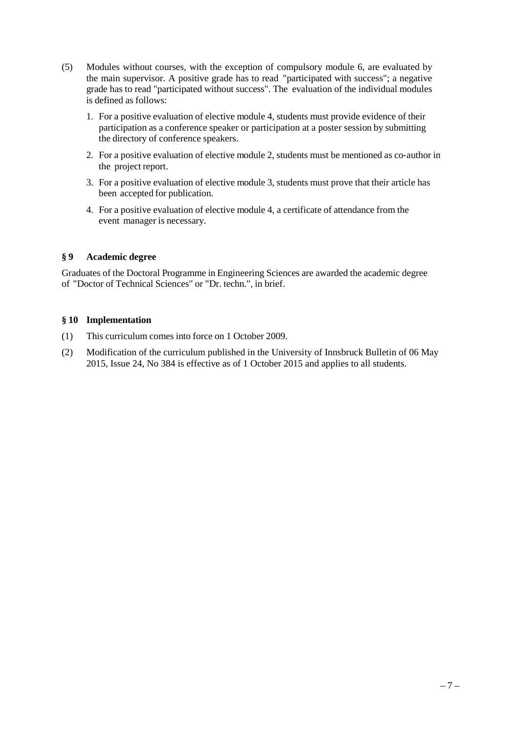- (5) Modules without courses, with the exception of compulsory module 6, are evaluated by the main supervisor. A positive grade has to read "participated with success"; a negative grade has to read "participated without success". The evaluation of the individual modules is defined as follows:
	- 1. For a positive evaluation of elective module 4, students must provide evidence of their participation as a conference speaker or participation at a poster session by submitting the directory of conference speakers.
	- 2. For a positive evaluation of elective module 2, students must be mentioned as co-author in the project report.
	- 3. For a positive evaluation of elective module 3, students must prove that their article has been accepted for publication.
	- 4. For a positive evaluation of elective module 4, a certificate of attendance from the event manager is necessary.

#### **§ 9 Academic degree**

Graduates of the Doctoral Programme in Engineering Sciences are awarded the academic degree of "Doctor of Technical Sciences" or "Dr. techn.", in brief.

#### **§ 10 Implementation**

- (1) This curriculum comes into force on 1 October 2009.
- (2) Modification of the curriculum published in the University of Innsbruck Bulletin of 06 May 2015, Issue 24, No 384 is effective as of 1 October 2015 and applies to all students.